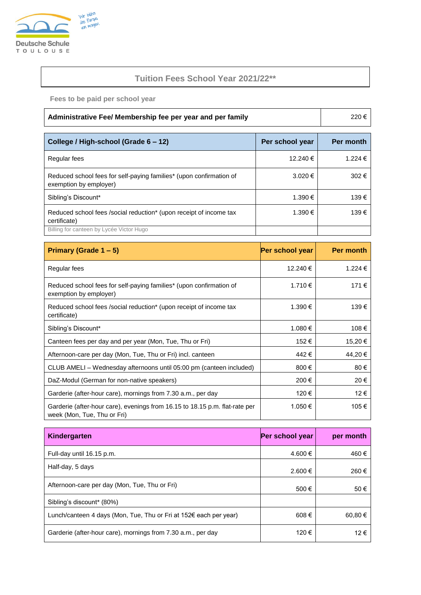

## **Tuition Fees School Year 2021/22\*\***

**Fees to be paid per school year**

| Administrative Fee/ Membership fee per year and per family |
|------------------------------------------------------------|
|------------------------------------------------------------|

| College / High-school (Grade 6 - 12)                                                          | Per school year | Per month |
|-----------------------------------------------------------------------------------------------|-----------------|-----------|
| Regular fees                                                                                  | 12.240 €        | 1.224 €   |
| Reduced school fees for self-paying families* (upon confirmation of<br>exemption by employer) | $3.020 \in$     | 302€      |
| Sibling's Discount*                                                                           | 1.390 €         | 139€      |
| Reduced school fees /social reduction* (upon receipt of income tax<br>certificate)            | 1.390 €         | 139€      |
| Billing for canteen by Lycée Victor Hugo                                                      |                 |           |

| Primary (Grade $1 - 5$ )                                                                                   | Per school year | <b>Per month</b> |
|------------------------------------------------------------------------------------------------------------|-----------------|------------------|
| Regular fees                                                                                               | 12.240 €        | 1.224 €          |
| Reduced school fees for self-paying families* (upon confirmation of<br>exemption by employer)              | 1.710 €         | 171€             |
| Reduced school fees /social reduction* (upon receipt of income tax<br>certificate)                         | 1.390 €         | 139€             |
| Sibling's Discount*                                                                                        | 1.080 €         | 108€             |
| Canteen fees per day and per year (Mon, Tue, Thu or Fri)                                                   | 152€            | 15,20€           |
| Afternoon-care per day (Mon, Tue, Thu or Fri) incl. canteen                                                | 442€            | 44,20€           |
| CLUB AMELI - Wednesday afternoons until 05:00 pm (canteen included)                                        | 800€            | 80€              |
| DaZ-Modul (German for non-native speakers)                                                                 | 200€            | 20€              |
| Garderie (after-hour care), mornings from 7.30 a.m., per day                                               | 120€            | 12€              |
| Garderie (after-hour care), evenings from 16.15 to 18.15 p.m. flat-rate per<br>week (Mon, Tue, Thu or Fri) | 1.050€          | 105€             |

| Kindergarten                                                      | Per school year | per month |
|-------------------------------------------------------------------|-----------------|-----------|
| Full-day until 16.15 p.m.                                         | 4.600 €         | 460€      |
| Half-day, 5 days                                                  | 2.600 €         | 260€      |
| Afternoon-care per day (Mon, Tue, Thu or Fri)                     | 500€            | 50€       |
| Sibling's discount* (80%)                                         |                 |           |
| Lunch/canteen 4 days (Mon, Tue, Thu or Fri at 152€ each per year) | 608€            | 60,80€    |
| Garderie (after-hour care), mornings from 7.30 a.m., per day      | 120€            | 12€       |